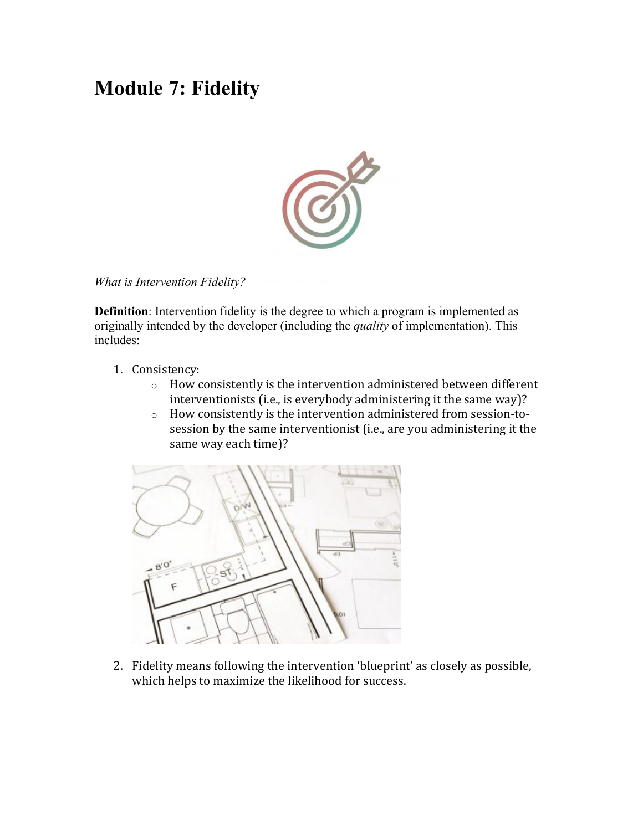#### **Module 7: Fidelity**



#### *What is Intervention Fidelity?*

**Definition**: Intervention fidelity is the degree to which a program is implemented as originally intended by the developer (including the *quality* of implementation). This includes:

- 1. Consistency:
	- $\circ$  How consistently is the intervention administered between different interventionists (i.e., is everybody administering it the same way)?
	- o How consistently is the intervention administered from session-tosession by the same interventionist (i.e., are you administering it the same way each time)?



2. Fidelity means following the intervention 'blueprint' as closely as possible, which helps to maximize the likelihood for success.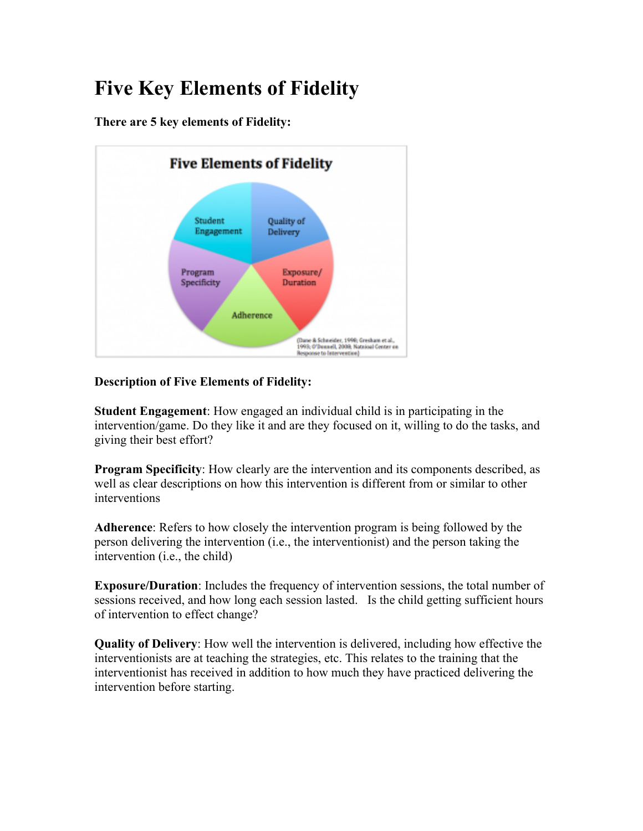## **Five Key Elements of Fidelity**

**There are 5 key elements of Fidelity:**



#### **Description of Five Elements of Fidelity:**

**Student Engagement**: How engaged an individual child is in participating in the intervention/game. Do they like it and are they focused on it, willing to do the tasks, and giving their best effort?

**Program Specificity**: How clearly are the intervention and its components described, as well as clear descriptions on how this intervention is different from or similar to other interventions

**Adherence**: Refers to how closely the intervention program is being followed by the person delivering the intervention (i.e., the interventionist) and the person taking the intervention (i.e., the child)

**Exposure/Duration**: Includes the frequency of intervention sessions, the total number of sessions received, and how long each session lasted. Is the child getting sufficient hours of intervention to effect change?

**Quality of Delivery**: How well the intervention is delivered, including how effective the interventionists are at teaching the strategies, etc. This relates to the training that the interventionist has received in addition to how much they have practiced delivering the intervention before starting.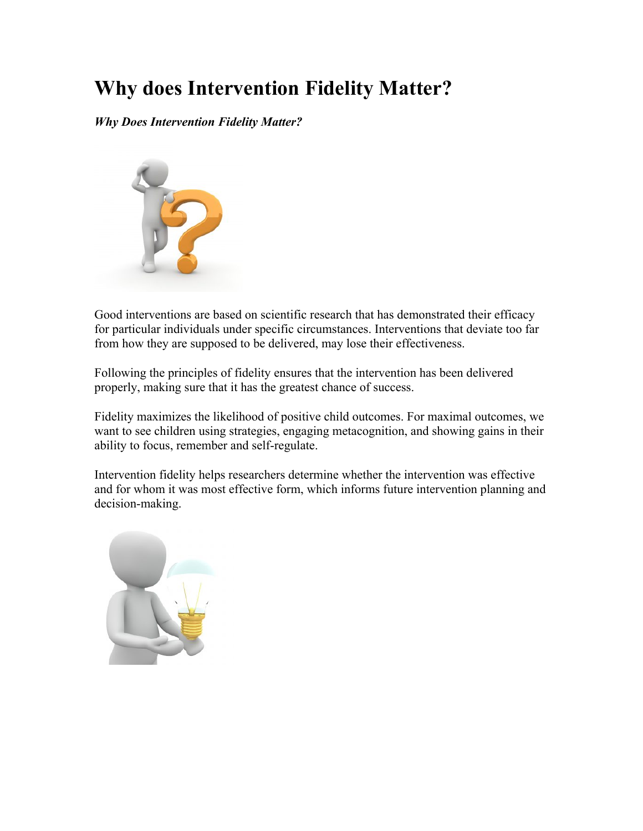### **Why does Intervention Fidelity Matter?**

*Why Does Intervention Fidelity Matter?*



Good interventions are based on scientific research that has demonstrated their efficacy for particular individuals under specific circumstances. Interventions that deviate too far from how they are supposed to be delivered, may lose their effectiveness.

Following the principles of fidelity ensures that the intervention has been delivered properly, making sure that it has the greatest chance of success.

Fidelity maximizes the likelihood of positive child outcomes. For maximal outcomes, we want to see children using strategies, engaging metacognition, and showing gains in their ability to focus, remember and self-regulate.

Intervention fidelity helps researchers determine whether the intervention was effective and for whom it was most effective form, which informs future intervention planning and decision-making.

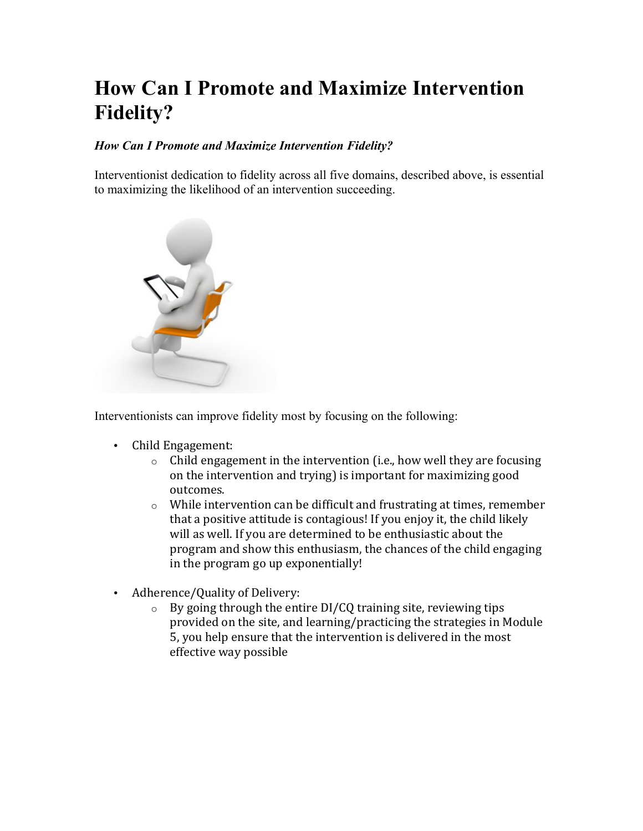### **How Can I Promote and Maximize Intervention Fidelity?**

#### *How Can I Promote and Maximize Intervention Fidelity?*

Interventionist dedication to fidelity across all five domains, described above, is essential to maximizing the likelihood of an intervention succeeding.



Interventionists can improve fidelity most by focusing on the following:

- Child Engagement:
	- $\circ$  Child engagement in the intervention (i.e., how well they are focusing on the intervention and trying) is important for maximizing good outcomes.
	- $\circ$  While intervention can be difficult and frustrating at times, remember that a positive attitude is contagious! If you enjoy it, the child likely will as well. If you are determined to be enthusiastic about the program and show this enthusiasm, the chances of the child engaging in the program go up exponentially!
- Adherence/Quality of Delivery:
	- $\circ$  By going through the entire DI/CQ training site, reviewing tips provided on the site, and learning/practicing the strategies in Module 5, you help ensure that the intervention is delivered in the most effective way possible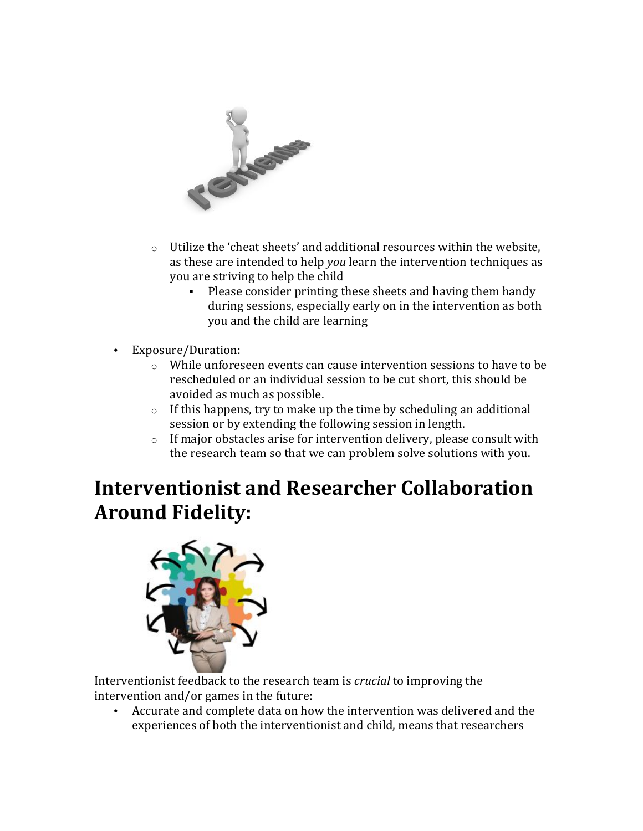

- $\circ$  Utilize the 'cheat sheets' and additional resources within the website, as these are intended to help *you* learn the intervention techniques as you are striving to help the child
	- Please consider printing these sheets and having them handy during sessions, especially early on in the intervention as both you and the child are learning
- Exposure/Duration:
	- $\circ$  While unforeseen events can cause intervention sessions to have to be rescheduled or an individual session to be cut short, this should be avoided as much as possible.
	- $\circ$  If this happens, try to make up the time by scheduling an additional session or by extending the following session in length.
	- $\circ$  If major obstacles arise for intervention delivery, please consult with the research team so that we can problem solve solutions with you.

### **Interventionist and Researcher Collaboration Around Fidelity:**



Interventionist feedback to the research team is *crucial* to improving the intervention and/or games in the future:

• Accurate and complete data on how the intervention was delivered and the experiences of both the interventionist and child, means that researchers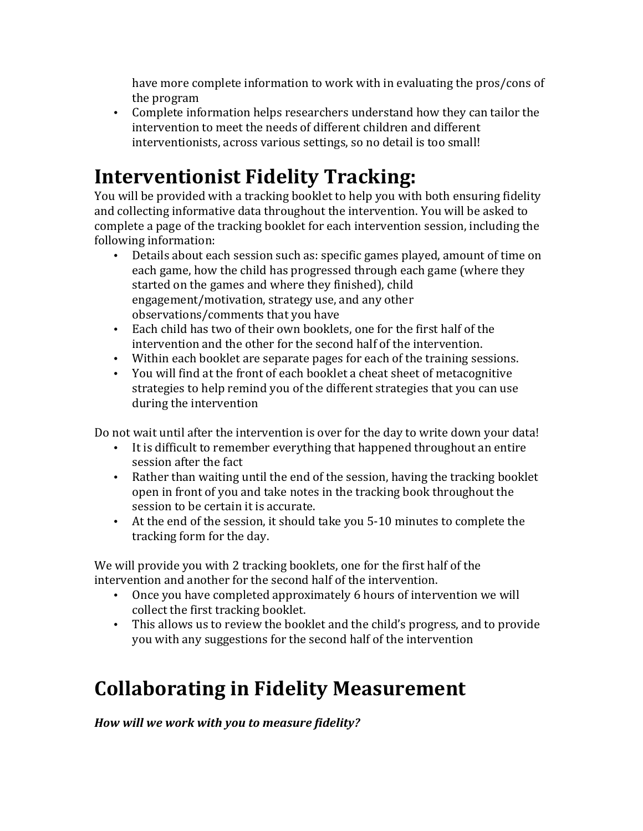have more complete information to work with in evaluating the pros/cons of the program

• Complete information helps researchers understand how they can tailor the intervention to meet the needs of different children and different interventionists, across various settings, so no detail is too small!

# **Interventionist Fidelity Tracking:**

You will be provided with a tracking booklet to help you with both ensuring fidelity and collecting informative data throughout the intervention. You will be asked to complete a page of the tracking booklet for each intervention session, including the following information:

- Details about each session such as: specific games played, amount of time on each game, how the child has progressed through each game (where they started on the games and where they finished), child engagement/motivation, strategy use, and any other observations/comments that you have
- Each child has two of their own booklets, one for the first half of the intervention and the other for the second half of the intervention.
- Within each booklet are separate pages for each of the training sessions.
- You will find at the front of each booklet a cheat sheet of metacognitive strategies to help remind you of the different strategies that you can use during the intervention

Do not wait until after the intervention is over for the day to write down your data!

- It is difficult to remember everything that happened throughout an entire session after the fact
- Rather than waiting until the end of the session, having the tracking booklet open in front of you and take notes in the tracking book throughout the session to be certain it is accurate.
- At the end of the session, it should take you 5-10 minutes to complete the tracking form for the day.

We will provide you with 2 tracking booklets, one for the first half of the intervention and another for the second half of the intervention.

- Once you have completed approximately 6 hours of intervention we will collect the first tracking booklet.
- This allows us to review the booklet and the child's progress, and to provide you with any suggestions for the second half of the intervention

# **Collaborating in Fidelity Measurement**

*How will we work with you to measure fidelity?*